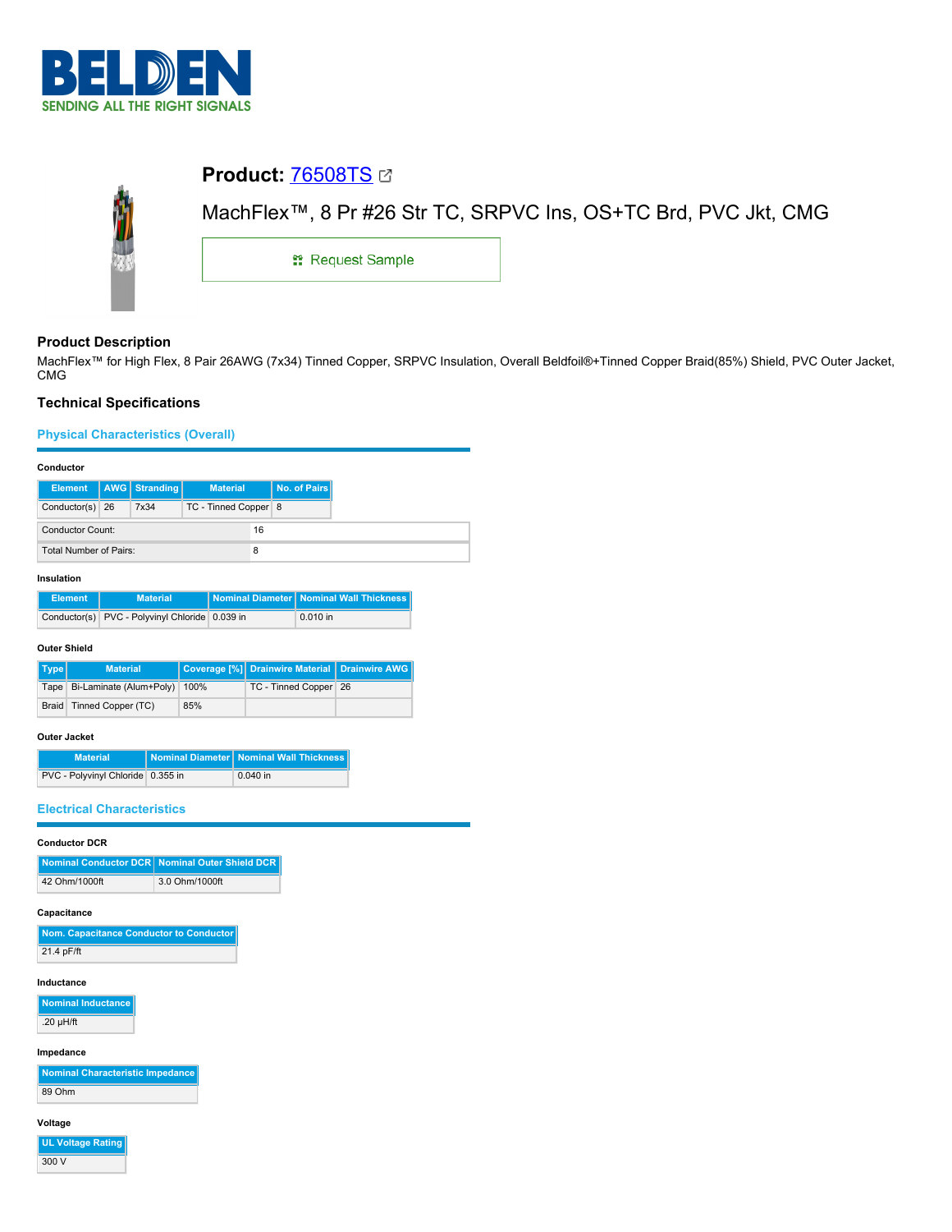



# **Product Description**

MachFlex™ for High Flex, 8 Pair 26AWG (7x34) Tinned Copper, SRPVC Insulation, Overall Beldfoil®+Tinned Copper Braid(85%) Shield, PVC Outer Jacket, CMG

# **Technical Specifications**

# **Physical Characteristics (Overall)**

#### **Conductor**

|                        |  | Element   AWG   Stranding | <b>Material</b>        |    | No. of Pairs |
|------------------------|--|---------------------------|------------------------|----|--------------|
| Conductor(s) 26        |  | 7x34                      | TC - Tinned Copper   8 |    |              |
| Conductor Count:       |  |                           |                        | 16 |              |
| Total Number of Pairs: |  |                           |                        |    |              |

### **Insulation**

| <b>Element</b> | <b>Material</b>                                | Nominal Diameter Nominal Wall Thickness |
|----------------|------------------------------------------------|-----------------------------------------|
|                | Conductor(s) PVC - Polyvinyl Chloride 0.039 in | $0.010$ in                              |

#### **Outer Shield**

| Type | <b>Material</b>                   |     | Coverage [%] Drainwire Material   Drainwire AWG |  |
|------|-----------------------------------|-----|-------------------------------------------------|--|
|      | Tape Bi-Laminate (Alum+Poly) 100% |     | TC - Tinned Copper 26                           |  |
|      | Braid   Tinned Copper (TC)        | 85% |                                                 |  |

#### **Outer Jacket**

| <b>Material</b>                   | Nominal Diameter Nominal Wall Thickness |
|-----------------------------------|-----------------------------------------|
| PVC - Polyvinyl Chloride 0.355 in | $0.040$ in                              |

## **Electrical Characteristics**

#### **Conductor DCR**

|               | Nominal Conductor DCR Nominal Outer Shield DCR |
|---------------|------------------------------------------------|
| 42 Ohm/1000ft | 3.0 Ohm/1000ft                                 |

## **Capacitance**

| Nom. Capacitance Conductor to Conductor |
|-----------------------------------------|
| 21.4 pF/ft                              |

### **Inductance**

**Nominal Inductance** .20 µH/ft

# **Impedance**

|        | Nominal Characteristic Impedance |
|--------|----------------------------------|
| 89 Ohm |                                  |

## **Voltage**

**UL Voltage Rating**